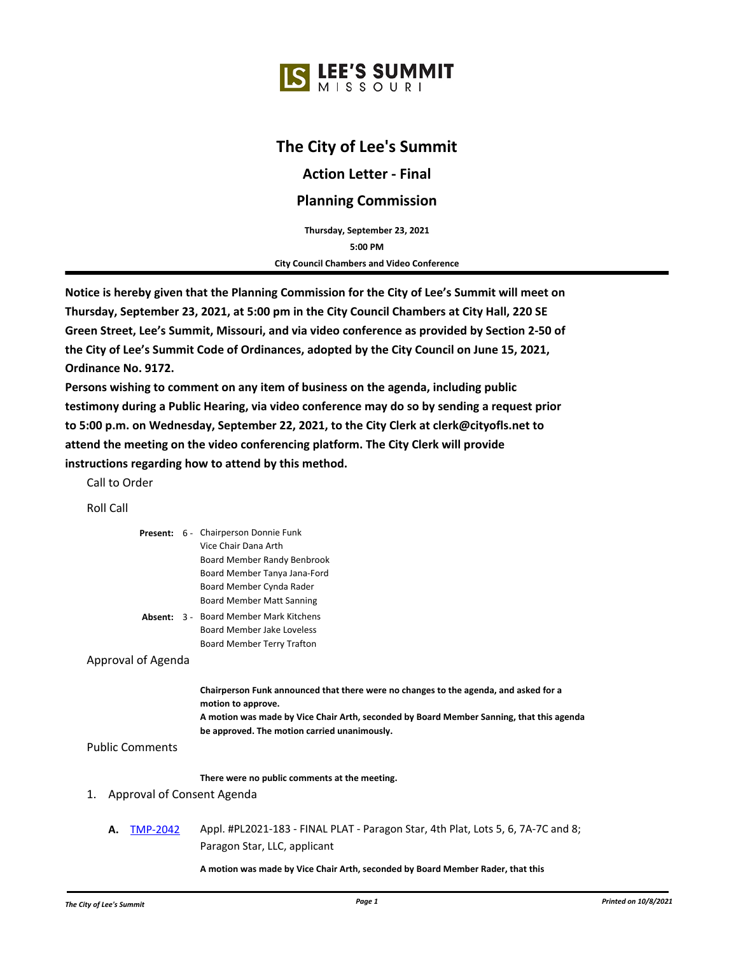# **The City of Lee's Summit**

**Action Letter - Final**

## **Planning Commission**

**5:00 PM Thursday, September 23, 2021 City Council Chambers and Video Conference**

**Notice is hereby given that the Planning Commission for the City of Lee's Summit will meet on Thursday, September 23, 2021, at 5:00 pm in the City Council Chambers at City Hall, 220 SE Green Street, Lee's Summit, Missouri, and via video conference as provided by Section 2-50 of the City of Lee's Summit Code of Ordinances, adopted by the City Council on June 15, 2021, Ordinance No. 9172.** 

**Persons wishing to comment on any item of business on the agenda, including public testimony during a Public Hearing, via video conference may do so by sending a request prior to 5:00 p.m. on Wednesday, September 22, 2021, to the City Clerk at clerk@cityofls.net to attend the meeting on the video conferencing platform. The City Clerk will provide instructions regarding how to attend by this method.**

Call to Order

Roll Call

|    | Roll Call |                        |                                                                                                                                                                                                                                                        |
|----|-----------|------------------------|--------------------------------------------------------------------------------------------------------------------------------------------------------------------------------------------------------------------------------------------------------|
|    |           |                        | Present: 6 - Chairperson Donnie Funk<br>Vice Chair Dana Arth<br>Board Member Randy Benbrook<br>Board Member Tanya Jana-Ford<br>Board Member Cynda Rader<br><b>Board Member Matt Sanning</b>                                                            |
|    |           |                        | <b>Absent: 3 - Board Member Mark Kitchens</b><br>Board Member Jake Loveless<br><b>Board Member Terry Trafton</b>                                                                                                                                       |
|    |           | Approval of Agenda     |                                                                                                                                                                                                                                                        |
|    |           |                        | Chairperson Funk announced that there were no changes to the agenda, and asked for a<br>motion to approve.<br>A motion was made by Vice Chair Arth, seconded by Board Member Sanning, that this agenda<br>be approved. The motion carried unanimously. |
|    |           | <b>Public Comments</b> |                                                                                                                                                                                                                                                        |
| 1. |           |                        | There were no public comments at the meeting.<br>Approval of Consent Agenda                                                                                                                                                                            |
|    | А.        | <b>TMP-2042</b>        | Appl. #PL2021-183 - FINAL PLAT - Paragon Star, 4th Plat, Lots 5, 6, 7A-7C and 8;<br>Paragon Star, LLC, applicant                                                                                                                                       |
|    |           |                        | A motion was made by Vice Chair Arth, seconded by Roard Member Rader, that this                                                                                                                                                                        |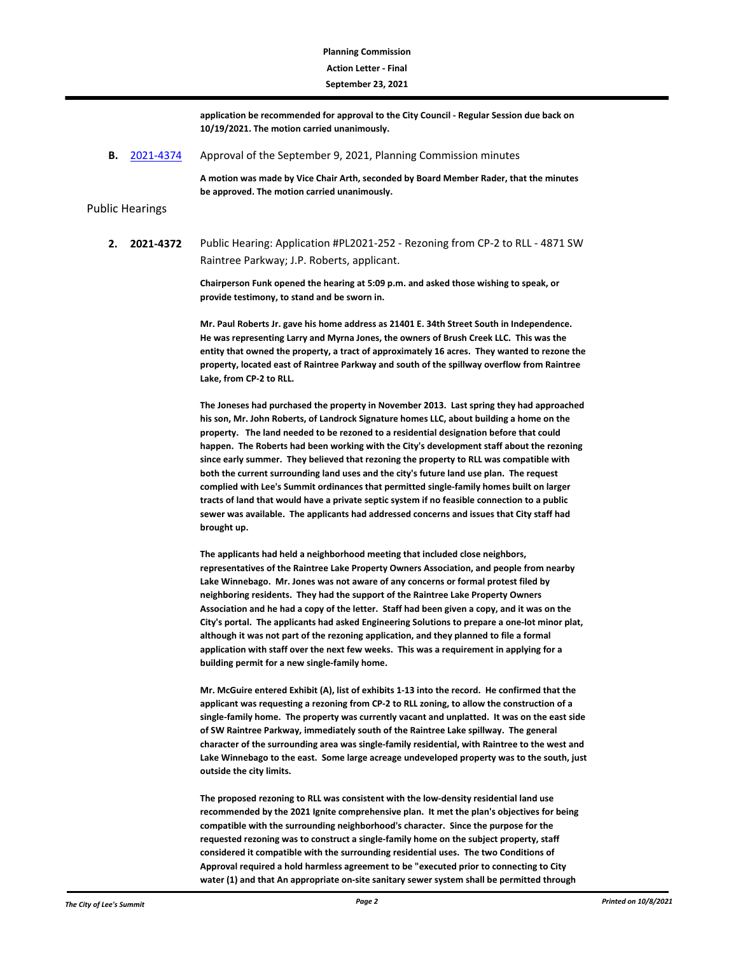## **Action Letter - Final Planning Commission**

#### **September 23, 2021**

**application be recommended for approval to the City Council - Regular Session due back on 10/19/2021. The motion carried unanimously.**

**B.** [2021-4374](http://lsmo.legistar.com/gateway.aspx?m=l&id=/matter.aspx?key=6976) Approval of the September 9, 2021, Planning Commission minutes

**A motion was made by Vice Chair Arth, seconded by Board Member Rader, that the minutes be approved. The motion carried unanimously.**

#### Public Hearings

**2. 2021-4372** Public Hearing: Application #PL2021-252 - Rezoning from CP-2 to RLL - 4871 SW Raintree Parkway; J.P. Roberts, applicant.

> **Chairperson Funk opened the hearing at 5:09 p.m. and asked those wishing to speak, or provide testimony, to stand and be sworn in.**

**Mr. Paul Roberts Jr. gave his home address as 21401 E. 34th Street South in Independence. He was representing Larry and Myrna Jones, the owners of Brush Creek LLC. This was the entity that owned the property, a tract of approximately 16 acres. They wanted to rezone the property, located east of Raintree Parkway and south of the spillway overflow from Raintree Lake, from CP-2 to RLL.** 

**The Joneses had purchased the property in November 2013. Last spring they had approached his son, Mr. John Roberts, of Landrock Signature homes LLC, about building a home on the property. The land needed to be rezoned to a residential designation before that could happen. The Roberts had been working with the City's development staff about the rezoning since early summer. They believed that rezoning the property to RLL was compatible with both the current surrounding land uses and the city's future land use plan. The request complied with Lee's Summit ordinances that permitted single-family homes built on larger tracts of land that would have a private septic system if no feasible connection to a public sewer was available. The applicants had addressed concerns and issues that City staff had brought up.** 

**The applicants had held a neighborhood meeting that included close neighbors, representatives of the Raintree Lake Property Owners Association, and people from nearby Lake Winnebago. Mr. Jones was not aware of any concerns or formal protest filed by neighboring residents. They had the support of the Raintree Lake Property Owners Association and he had a copy of the letter. Staff had been given a copy, and it was on the City's portal. The applicants had asked Engineering Solutions to prepare a one-lot minor plat, although it was not part of the rezoning application, and they planned to file a formal application with staff over the next few weeks. This was a requirement in applying for a building permit for a new single-family home.**

**Mr. McGuire entered Exhibit (A), list of exhibits 1-13 into the record. He confirmed that the applicant was requesting a rezoning from CP-2 to RLL zoning, to allow the construction of a single-family home. The property was currently vacant and unplatted. It was on the east side of SW Raintree Parkway, immediately south of the Raintree Lake spillway. The general character of the surrounding area was single-family residential, with Raintree to the west and Lake Winnebago to the east. Some large acreage undeveloped property was to the south, just outside the city limits.** 

**The proposed rezoning to RLL was consistent with the low-density residential land use recommended by the 2021 Ignite comprehensive plan. It met the plan's objectives for being compatible with the surrounding neighborhood's character. Since the purpose for the requested rezoning was to construct a single-family home on the subject property, staff considered it compatible with the surrounding residential uses. The two Conditions of Approval required a hold harmless agreement to be "executed prior to connecting to City water (1) and that An appropriate on-site sanitary sewer system shall be permitted through**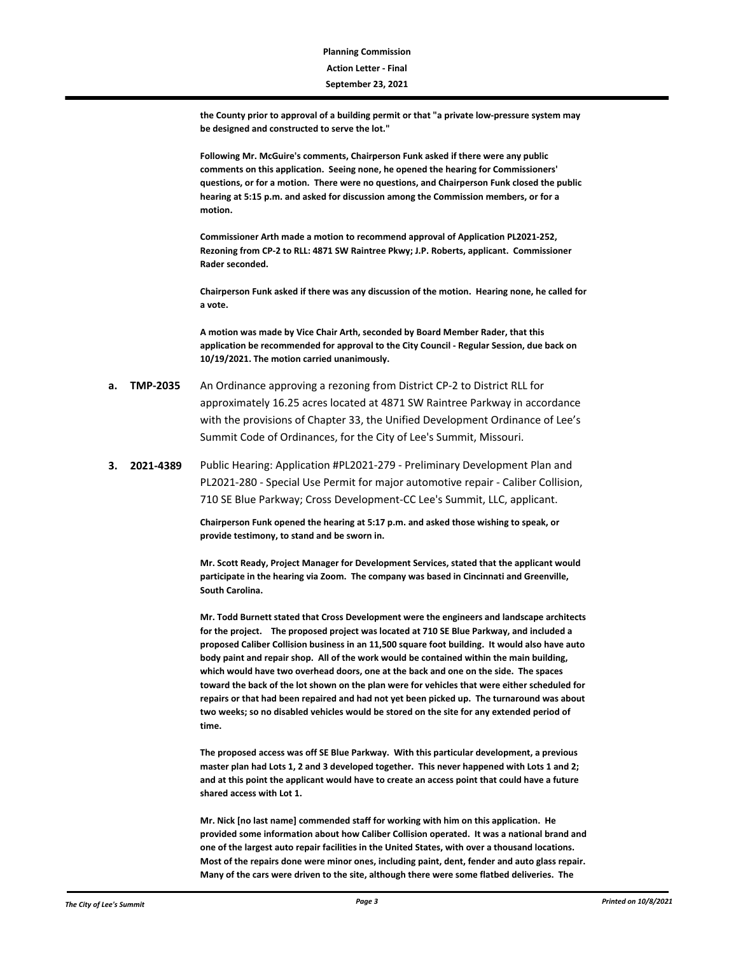**the County prior to approval of a building permit or that "a private low-pressure system may be designed and constructed to serve the lot."**

**Following Mr. McGuire's comments, Chairperson Funk asked if there were any public comments on this application. Seeing none, he opened the hearing for Commissioners' questions, or for a motion. There were no questions, and Chairperson Funk closed the public hearing at 5:15 p.m. and asked for discussion among the Commission members, or for a motion.**

**Commissioner Arth made a motion to recommend approval of Application PL2021-252, Rezoning from CP-2 to RLL: 4871 SW Raintree Pkwy; J.P. Roberts, applicant. Commissioner Rader seconded.**

**Chairperson Funk asked if there was any discussion of the motion. Hearing none, he called for a vote.**

**A motion was made by Vice Chair Arth, seconded by Board Member Rader, that this application be recommended for approval to the City Council - Regular Session, due back on 10/19/2021. The motion carried unanimously.**

- **a. TMP-2035** An Ordinance approving a rezoning from District CP-2 to District RLL for approximately 16.25 acres located at 4871 SW Raintree Parkway in accordance with the provisions of Chapter 33, the Unified Development Ordinance of Lee's Summit Code of Ordinances, for the City of Lee's Summit, Missouri.
- **3. 2021-4389** Public Hearing: Application #PL2021-279 Preliminary Development Plan and PL2021-280 - Special Use Permit for major automotive repair - Caliber Collision, 710 SE Blue Parkway; Cross Development-CC Lee's Summit, LLC, applicant.

**Chairperson Funk opened the hearing at 5:17 p.m. and asked those wishing to speak, or provide testimony, to stand and be sworn in.** 

**Mr. Scott Ready, Project Manager for Development Services, stated that the applicant would participate in the hearing via Zoom. The company was based in Cincinnati and Greenville, South Carolina.** 

**Mr. Todd Burnett stated that Cross Development were the engineers and landscape architects for the project. The proposed project was located at 710 SE Blue Parkway, and included a proposed Caliber Collision business in an 11,500 square foot building. It would also have auto body paint and repair shop. All of the work would be contained within the main building, which would have two overhead doors, one at the back and one on the side. The spaces toward the back of the lot shown on the plan were for vehicles that were either scheduled for repairs or that had been repaired and had not yet been picked up. The turnaround was about two weeks; so no disabled vehicles would be stored on the site for any extended period of time.** 

**The proposed access was off SE Blue Parkway. With this particular development, a previous master plan had Lots 1, 2 and 3 developed together. This never happened with Lots 1 and 2; and at this point the applicant would have to create an access point that could have a future shared access with Lot 1.**

**Mr. Nick [no last name] commended staff for working with him on this application. He provided some information about how Caliber Collision operated. It was a national brand and one of the largest auto repair facilities in the United States, with over a thousand locations. Most of the repairs done were minor ones, including paint, dent, fender and auto glass repair. Many of the cars were driven to the site, although there were some flatbed deliveries. The**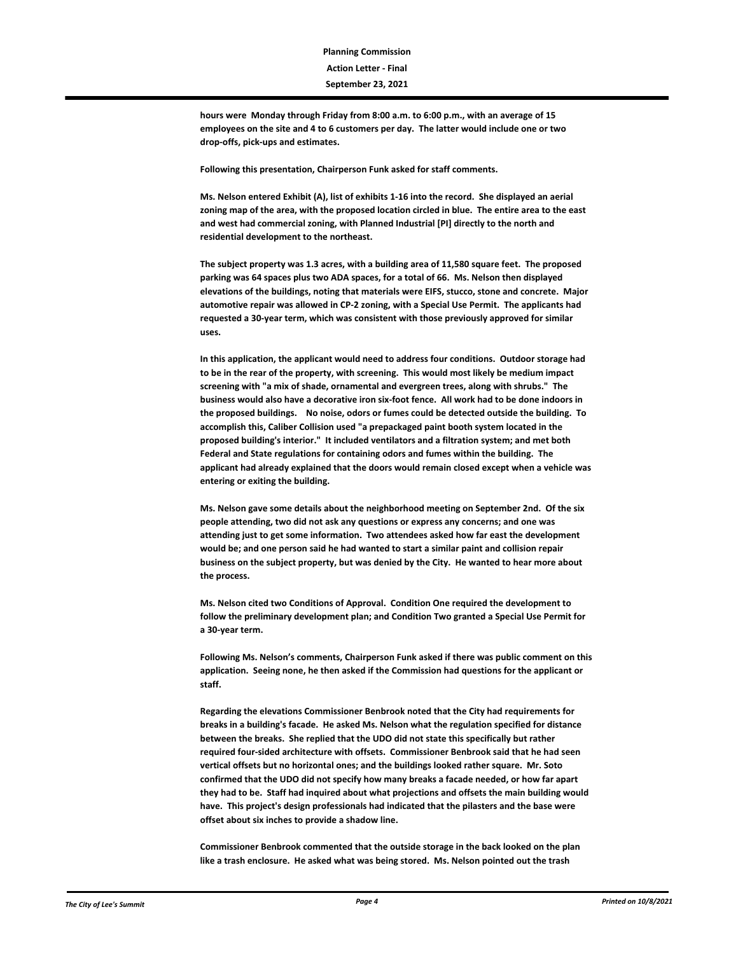**hours were Monday through Friday from 8:00 a.m. to 6:00 p.m., with an average of 15 employees on the site and 4 to 6 customers per day. The latter would include one or two drop-offs, pick-ups and estimates.** 

**Following this presentation, Chairperson Funk asked for staff comments.**

**Ms. Nelson entered Exhibit (A), list of exhibits 1-16 into the record. She displayed an aerial zoning map of the area, with the proposed location circled in blue. The entire area to the east and west had commercial zoning, with Planned Industrial [PI] directly to the north and residential development to the northeast.** 

**The subject property was 1.3 acres, with a building area of 11,580 square feet. The proposed parking was 64 spaces plus two ADA spaces, for a total of 66. Ms. Nelson then displayed elevations of the buildings, noting that materials were EIFS, stucco, stone and concrete. Major automotive repair was allowed in CP-2 zoning, with a Special Use Permit. The applicants had requested a 30-year term, which was consistent with those previously approved for similar uses.**

**In this application, the applicant would need to address four conditions. Outdoor storage had to be in the rear of the property, with screening. This would most likely be medium impact screening with "a mix of shade, ornamental and evergreen trees, along with shrubs." The business would also have a decorative iron six-foot fence. All work had to be done indoors in the proposed buildings. No noise, odors or fumes could be detected outside the building. To accomplish this, Caliber Collision used "a prepackaged paint booth system located in the proposed building's interior." It included ventilators and a filtration system; and met both Federal and State regulations for containing odors and fumes within the building. The applicant had already explained that the doors would remain closed except when a vehicle was entering or exiting the building.**

**Ms. Nelson gave some details about the neighborhood meeting on September 2nd. Of the six people attending, two did not ask any questions or express any concerns; and one was attending just to get some information. Two attendees asked how far east the development would be; and one person said he had wanted to start a similar paint and collision repair business on the subject property, but was denied by the City. He wanted to hear more about the process.** 

**Ms. Nelson cited two Conditions of Approval. Condition One required the development to follow the preliminary development plan; and Condition Two granted a Special Use Permit for a 30-year term.**

**Following Ms. Nelson's comments, Chairperson Funk asked if there was public comment on this application. Seeing none, he then asked if the Commission had questions for the applicant or staff.**

**Regarding the elevations Commissioner Benbrook noted that the City had requirements for breaks in a building's facade. He asked Ms. Nelson what the regulation specified for distance between the breaks. She replied that the UDO did not state this specifically but rather required four-sided architecture with offsets. Commissioner Benbrook said that he had seen vertical offsets but no horizontal ones; and the buildings looked rather square. Mr. Soto confirmed that the UDO did not specify how many breaks a facade needed, or how far apart they had to be. Staff had inquired about what projections and offsets the main building would have. This project's design professionals had indicated that the pilasters and the base were offset about six inches to provide a shadow line.** 

**Commissioner Benbrook commented that the outside storage in the back looked on the plan like a trash enclosure. He asked what was being stored. Ms. Nelson pointed out the trash**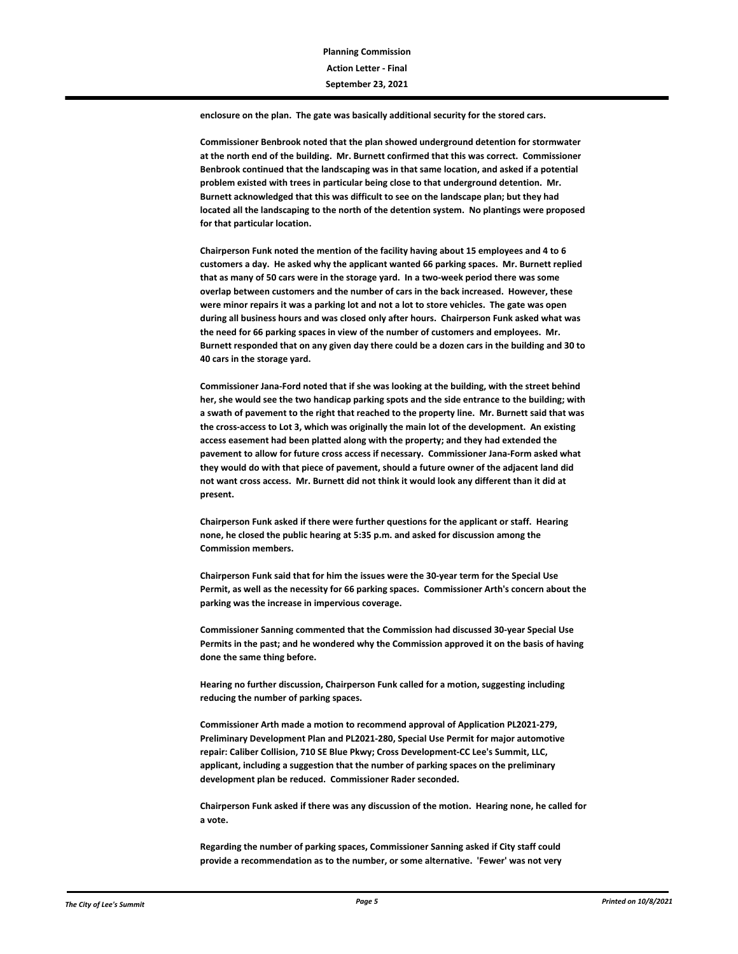**enclosure on the plan. The gate was basically additional security for the stored cars.** 

**Commissioner Benbrook noted that the plan showed underground detention for stormwater at the north end of the building. Mr. Burnett confirmed that this was correct. Commissioner Benbrook continued that the landscaping was in that same location, and asked if a potential problem existed with trees in particular being close to that underground detention. Mr. Burnett acknowledged that this was difficult to see on the landscape plan; but they had located all the landscaping to the north of the detention system. No plantings were proposed for that particular location.** 

**Chairperson Funk noted the mention of the facility having about 15 employees and 4 to 6 customers a day. He asked why the applicant wanted 66 parking spaces. Mr. Burnett replied that as many of 50 cars were in the storage yard. In a two-week period there was some overlap between customers and the number of cars in the back increased. However, these were minor repairs it was a parking lot and not a lot to store vehicles. The gate was open during all business hours and was closed only after hours. Chairperson Funk asked what was the need for 66 parking spaces in view of the number of customers and employees. Mr. Burnett responded that on any given day there could be a dozen cars in the building and 30 to 40 cars in the storage yard.**

**Commissioner Jana-Ford noted that if she was looking at the building, with the street behind her, she would see the two handicap parking spots and the side entrance to the building; with a swath of pavement to the right that reached to the property line. Mr. Burnett said that was the cross-access to Lot 3, which was originally the main lot of the development. An existing access easement had been platted along with the property; and they had extended the pavement to allow for future cross access if necessary. Commissioner Jana-Form asked what they would do with that piece of pavement, should a future owner of the adjacent land did not want cross access. Mr. Burnett did not think it would look any different than it did at present.** 

**Chairperson Funk asked if there were further questions for the applicant or staff. Hearing none, he closed the public hearing at 5:35 p.m. and asked for discussion among the Commission members.**

**Chairperson Funk said that for him the issues were the 30-year term for the Special Use Permit, as well as the necessity for 66 parking spaces. Commissioner Arth's concern about the parking was the increase in impervious coverage.**

**Commissioner Sanning commented that the Commission had discussed 30-year Special Use Permits in the past; and he wondered why the Commission approved it on the basis of having done the same thing before.** 

**Hearing no further discussion, Chairperson Funk called for a motion, suggesting including reducing the number of parking spaces.**

**Commissioner Arth made a motion to recommend approval of Application PL2021-279, Preliminary Development Plan and PL2021-280, Special Use Permit for major automotive repair: Caliber Collision, 710 SE Blue Pkwy; Cross Development-CC Lee's Summit, LLC, applicant, including a suggestion that the number of parking spaces on the preliminary development plan be reduced. Commissioner Rader seconded.**

**Chairperson Funk asked if there was any discussion of the motion. Hearing none, he called for a vote.**

**Regarding the number of parking spaces, Commissioner Sanning asked if City staff could provide a recommendation as to the number, or some alternative. 'Fewer' was not very**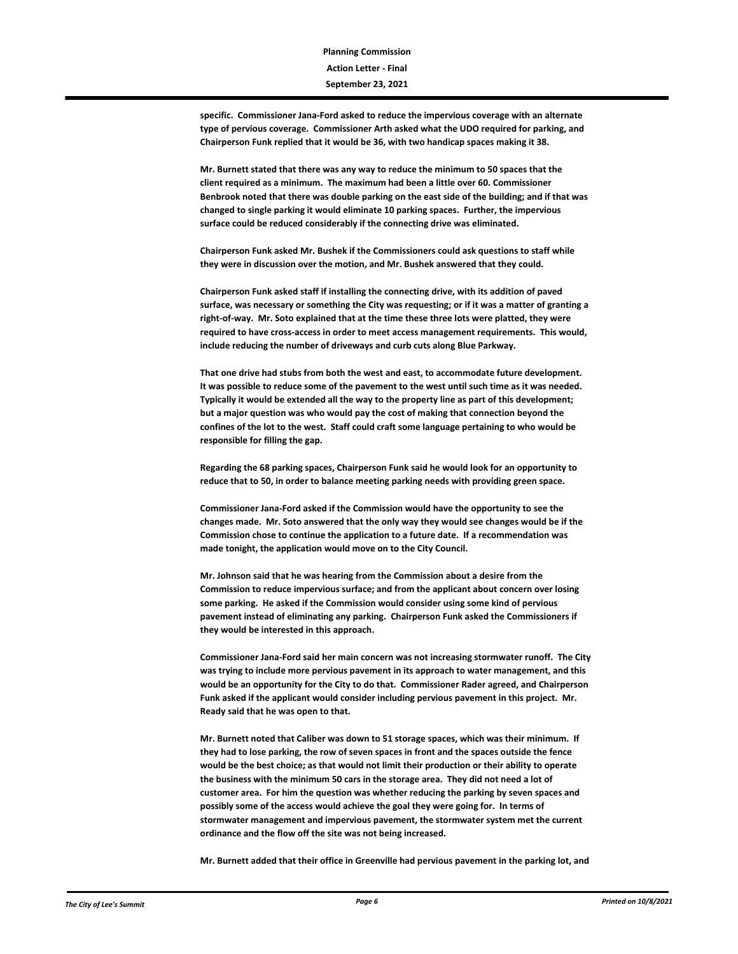**specific. Commissioner Jana-Ford asked to reduce the impervious coverage with an alternate type of pervious coverage. Commissioner Arth asked what the UDO required for parking, and Chairperson Funk replied that it would be 36, with two handicap spaces making it 38.**

**Mr. Burnett stated that there was any way to reduce the minimum to 50 spaces that the client required as a minimum. The maximum had been a little over 60. Commissioner Benbrook noted that there was double parking on the east side of the building; and if that was changed to single parking it would eliminate 10 parking spaces. Further, the impervious surface could be reduced considerably if the connecting drive was eliminated.**

**Chairperson Funk asked Mr. Bushek if the Commissioners could ask questions to staff while they were in discussion over the motion, and Mr. Bushek answered that they could.** 

**Chairperson Funk asked staff if installing the connecting drive, with its addition of paved surface, was necessary or something the City was requesting; or if it was a matter of granting a right-of-way. Mr. Soto explained that at the time these three lots were platted, they were required to have cross-access in order to meet access management requirements. This would, include reducing the number of driveways and curb cuts along Blue Parkway.** 

**That one drive had stubs from both the west and east, to accommodate future development. It was possible to reduce some of the pavement to the west until such time as it was needed. Typically it would be extended all the way to the property line as part of this development; but a major question was who would pay the cost of making that connection beyond the confines of the lot to the west. Staff could craft some language pertaining to who would be responsible for filling the gap.**

**Regarding the 68 parking spaces, Chairperson Funk said he would look for an opportunity to reduce that to 50, in order to balance meeting parking needs with providing green space.** 

**Commissioner Jana-Ford asked if the Commission would have the opportunity to see the changes made. Mr. Soto answered that the only way they would see changes would be if the Commission chose to continue the application to a future date. If a recommendation was made tonight, the application would move on to the City Council.** 

**Mr. Johnson said that he was hearing from the Commission about a desire from the Commission to reduce impervious surface; and from the applicant about concern over losing some parking. He asked if the Commission would consider using some kind of pervious pavement instead of eliminating any parking. Chairperson Funk asked the Commissioners if they would be interested in this approach.** 

**Commissioner Jana-Ford said her main concern was not increasing stormwater runoff. The City was trying to include more pervious pavement in its approach to water management, and this would be an opportunity for the City to do that. Commissioner Rader agreed, and Chairperson Funk asked if the applicant would consider including pervious pavement in this project. Mr. Ready said that he was open to that.** 

**Mr. Burnett noted that Caliber was down to 51 storage spaces, which was their minimum. If they had to lose parking, the row of seven spaces in front and the spaces outside the fence would be the best choice; as that would not limit their production or their ability to operate the business with the minimum 50 cars in the storage area. They did not need a lot of customer area. For him the question was whether reducing the parking by seven spaces and possibly some of the access would achieve the goal they were going for. In terms of stormwater management and impervious pavement, the stormwater system met the current ordinance and the flow off the site was not being increased.** 

**Mr. Burnett added that their office in Greenville had pervious pavement in the parking lot, and**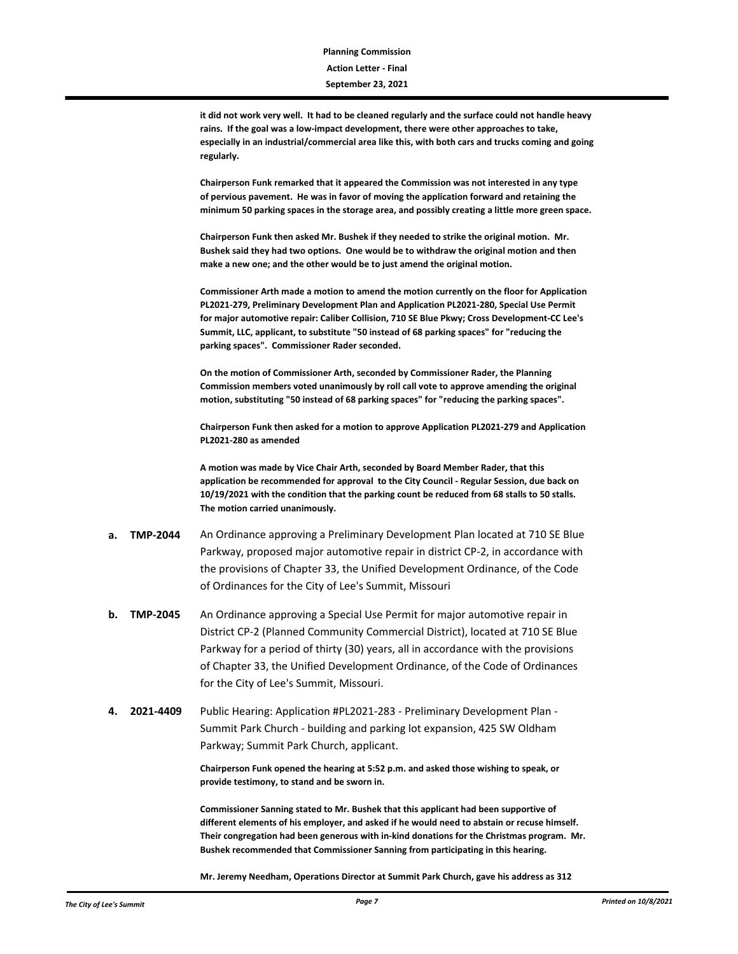**it did not work very well. It had to be cleaned regularly and the surface could not handle heavy rains. If the goal was a low-impact development, there were other approaches to take, especially in an industrial/commercial area like this, with both cars and trucks coming and going regularly.** 

**Chairperson Funk remarked that it appeared the Commission was not interested in any type of pervious pavement. He was in favor of moving the application forward and retaining the minimum 50 parking spaces in the storage area, and possibly creating a little more green space.**

**Chairperson Funk then asked Mr. Bushek if they needed to strike the original motion. Mr. Bushek said they had two options. One would be to withdraw the original motion and then make a new one; and the other would be to just amend the original motion.** 

**Commissioner Arth made a motion to amend the motion currently on the floor for Application PL2021-279, Preliminary Development Plan and Application PL2021-280, Special Use Permit for major automotive repair: Caliber Collision, 710 SE Blue Pkwy; Cross Development-CC Lee's Summit, LLC, applicant, to substitute "50 instead of 68 parking spaces" for "reducing the parking spaces". Commissioner Rader seconded.**

**On the motion of Commissioner Arth, seconded by Commissioner Rader, the Planning Commission members voted unanimously by roll call vote to approve amending the original motion, substituting "50 instead of 68 parking spaces" for "reducing the parking spaces".** 

**Chairperson Funk then asked for a motion to approve Application PL2021-279 and Application PL2021-280 as amended**

**A motion was made by Vice Chair Arth, seconded by Board Member Rader, that this application be recommended for approval to the City Council - Regular Session, due back on 10/19/2021 with the condition that the parking count be reduced from 68 stalls to 50 stalls. The motion carried unanimously.**

- **a. TMP-2044** An Ordinance approving a Preliminary Development Plan located at 710 SE Blue Parkway, proposed major automotive repair in district CP-2, in accordance with the provisions of Chapter 33, the Unified Development Ordinance, of the Code of Ordinances for the City of Lee's Summit, Missouri
- **b. TMP-2045** An Ordinance approving a Special Use Permit for major automotive repair in District CP-2 (Planned Community Commercial District), located at 710 SE Blue Parkway for a period of thirty (30) years, all in accordance with the provisions of Chapter 33, the Unified Development Ordinance, of the Code of Ordinances for the City of Lee's Summit, Missouri.
- **4. 2021-4409** Public Hearing: Application #PL2021-283 Preliminary Development Plan Summit Park Church - building and parking lot expansion, 425 SW Oldham Parkway; Summit Park Church, applicant.

**Chairperson Funk opened the hearing at 5:52 p.m. and asked those wishing to speak, or provide testimony, to stand and be sworn in.** 

**Commissioner Sanning stated to Mr. Bushek that this applicant had been supportive of different elements of his employer, and asked if he would need to abstain or recuse himself. Their congregation had been generous with in-kind donations for the Christmas program. Mr. Bushek recommended that Commissioner Sanning from participating in this hearing.**

**Mr. Jeremy Needham, Operations Director at Summit Park Church, gave his address as 312**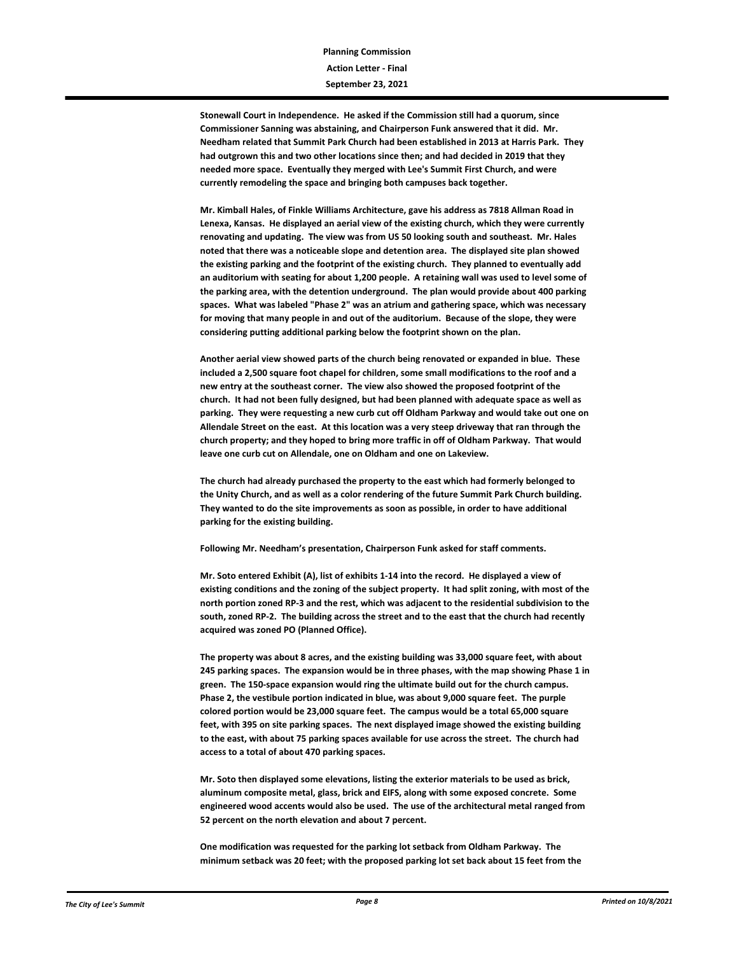**Stonewall Court in Independence. He asked if the Commission still had a quorum, since Commissioner Sanning was abstaining, and Chairperson Funk answered that it did. Mr. Needham related that Summit Park Church had been established in 2013 at Harris Park. They had outgrown this and two other locations since then; and had decided in 2019 that they needed more space. Eventually they merged with Lee's Summit First Church, and were currently remodeling the space and bringing both campuses back together.** 

**Mr. Kimball Hales, of Finkle Williams Architecture, gave his address as 7818 Allman Road in Lenexa, Kansas. He displayed an aerial view of the existing church, which they were currently renovating and updating. The view was from US 50 looking south and southeast. Mr. Hales noted that there was a noticeable slope and detention area. The displayed site plan showed the existing parking and the footprint of the existing church. They planned to eventually add an auditorium with seating for about 1,200 people. A retaining wall was used to level some of the parking area, with the detention underground. The plan would provide about 400 parking spaces. What was labeled "Phase 2" was an atrium and gathering space, which was necessary for moving that many people in and out of the auditorium. Because of the slope, they were considering putting additional parking below the footprint shown on the plan.** 

**Another aerial view showed parts of the church being renovated or expanded in blue. These included a 2,500 square foot chapel for children, some small modifications to the roof and a new entry at the southeast corner. The view also showed the proposed footprint of the church. It had not been fully designed, but had been planned with adequate space as well as parking. They were requesting a new curb cut off Oldham Parkway and would take out one on Allendale Street on the east. At this location was a very steep driveway that ran through the church property; and they hoped to bring more traffic in off of Oldham Parkway. That would leave one curb cut on Allendale, one on Oldham and one on Lakeview.**

**The church had already purchased the property to the east which had formerly belonged to the Unity Church, and as well as a color rendering of the future Summit Park Church building. They wanted to do the site improvements as soon as possible, in order to have additional parking for the existing building.**

**Following Mr. Needham's presentation, Chairperson Funk asked for staff comments.**

**Mr. Soto entered Exhibit (A), list of exhibits 1-14 into the record. He displayed a view of existing conditions and the zoning of the subject property. It had split zoning, with most of the north portion zoned RP-3 and the rest, which was adjacent to the residential subdivision to the south, zoned RP-2. The building across the street and to the east that the church had recently acquired was zoned PO (Planned Office).**

**The property was about 8 acres, and the existing building was 33,000 square feet, with about 245 parking spaces. The expansion would be in three phases, with the map showing Phase 1 in green. The 150-space expansion would ring the ultimate build out for the church campus. Phase 2, the vestibule portion indicated in blue, was about 9,000 square feet. The purple colored portion would be 23,000 square feet. The campus would be a total 65,000 square feet, with 395 on site parking spaces. The next displayed image showed the existing building to the east, with about 75 parking spaces available for use across the street. The church had access to a total of about 470 parking spaces.**

**Mr. Soto then displayed some elevations, listing the exterior materials to be used as brick, aluminum composite metal, glass, brick and EIFS, along with some exposed concrete. Some engineered wood accents would also be used. The use of the architectural metal ranged from 52 percent on the north elevation and about 7 percent.** 

**One modification was requested for the parking lot setback from Oldham Parkway. The minimum setback was 20 feet; with the proposed parking lot set back about 15 feet from the**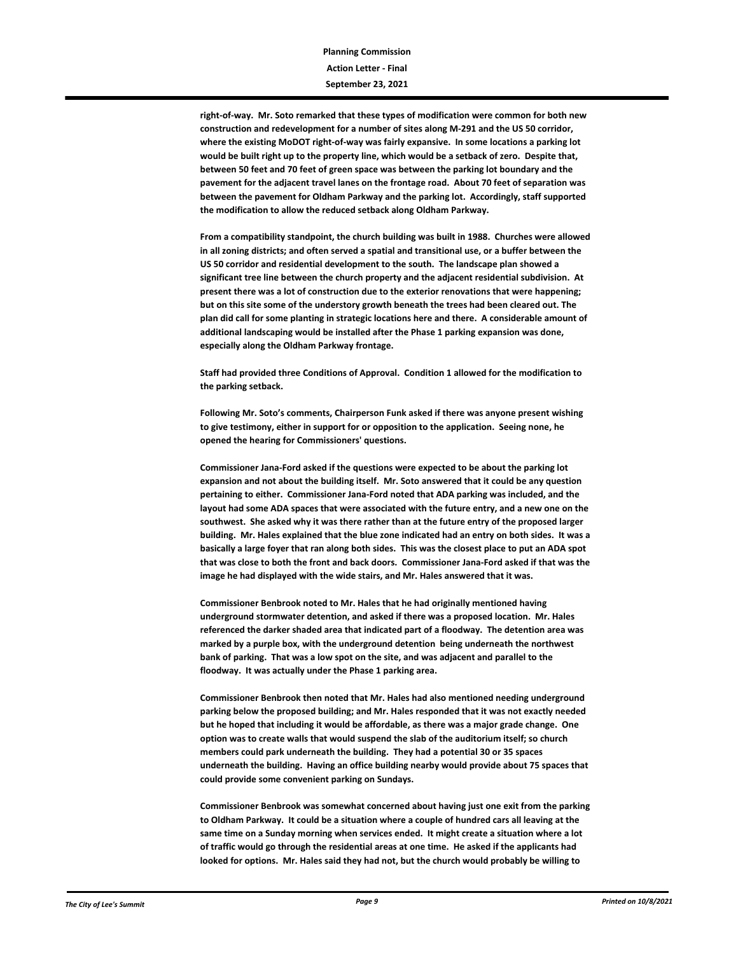**right-of-way. Mr. Soto remarked that these types of modification were common for both new construction and redevelopment for a number of sites along M-291 and the US 50 corridor, where the existing MoDOT right-of-way was fairly expansive. In some locations a parking lot would be built right up to the property line, which would be a setback of zero. Despite that, between 50 feet and 70 feet of green space was between the parking lot boundary and the pavement for the adjacent travel lanes on the frontage road. About 70 feet of separation was between the pavement for Oldham Parkway and the parking lot. Accordingly, staff supported the modification to allow the reduced setback along Oldham Parkway.** 

**From a compatibility standpoint, the church building was built in 1988. Churches were allowed in all zoning districts; and often served a spatial and transitional use, or a buffer between the US 50 corridor and residential development to the south. The landscape plan showed a significant tree line between the church property and the adjacent residential subdivision. At present there was a lot of construction due to the exterior renovations that were happening; but on this site some of the understory growth beneath the trees had been cleared out. The plan did call for some planting in strategic locations here and there. A considerable amount of additional landscaping would be installed after the Phase 1 parking expansion was done, especially along the Oldham Parkway frontage.** 

**Staff had provided three Conditions of Approval. Condition 1 allowed for the modification to the parking setback.**

**Following Mr. Soto's comments, Chairperson Funk asked if there was anyone present wishing to give testimony, either in support for or opposition to the application. Seeing none, he opened the hearing for Commissioners' questions.**

**Commissioner Jana-Ford asked if the questions were expected to be about the parking lot expansion and not about the building itself. Mr. Soto answered that it could be any question pertaining to either. Commissioner Jana-Ford noted that ADA parking was included, and the layout had some ADA spaces that were associated with the future entry, and a new one on the southwest. She asked why it was there rather than at the future entry of the proposed larger building. Mr. Hales explained that the blue zone indicated had an entry on both sides. It was a basically a large foyer that ran along both sides. This was the closest place to put an ADA spot that was close to both the front and back doors. Commissioner Jana-Ford asked if that was the image he had displayed with the wide stairs, and Mr. Hales answered that it was.** 

**Commissioner Benbrook noted to Mr. Hales that he had originally mentioned having underground stormwater detention, and asked if there was a proposed location. Mr. Hales referenced the darker shaded area that indicated part of a floodway. The detention area was marked by a purple box, with the underground detention being underneath the northwest bank of parking. That was a low spot on the site, and was adjacent and parallel to the floodway. It was actually under the Phase 1 parking area.** 

**Commissioner Benbrook then noted that Mr. Hales had also mentioned needing underground parking below the proposed building; and Mr. Hales responded that it was not exactly needed but he hoped that including it would be affordable, as there was a major grade change. One option was to create walls that would suspend the slab of the auditorium itself; so church members could park underneath the building. They had a potential 30 or 35 spaces underneath the building. Having an office building nearby would provide about 75 spaces that could provide some convenient parking on Sundays.**

**Commissioner Benbrook was somewhat concerned about having just one exit from the parking to Oldham Parkway. It could be a situation where a couple of hundred cars all leaving at the same time on a Sunday morning when services ended. It might create a situation where a lot of traffic would go through the residential areas at one time. He asked if the applicants had looked for options. Mr. Hales said they had not, but the church would probably be willing to**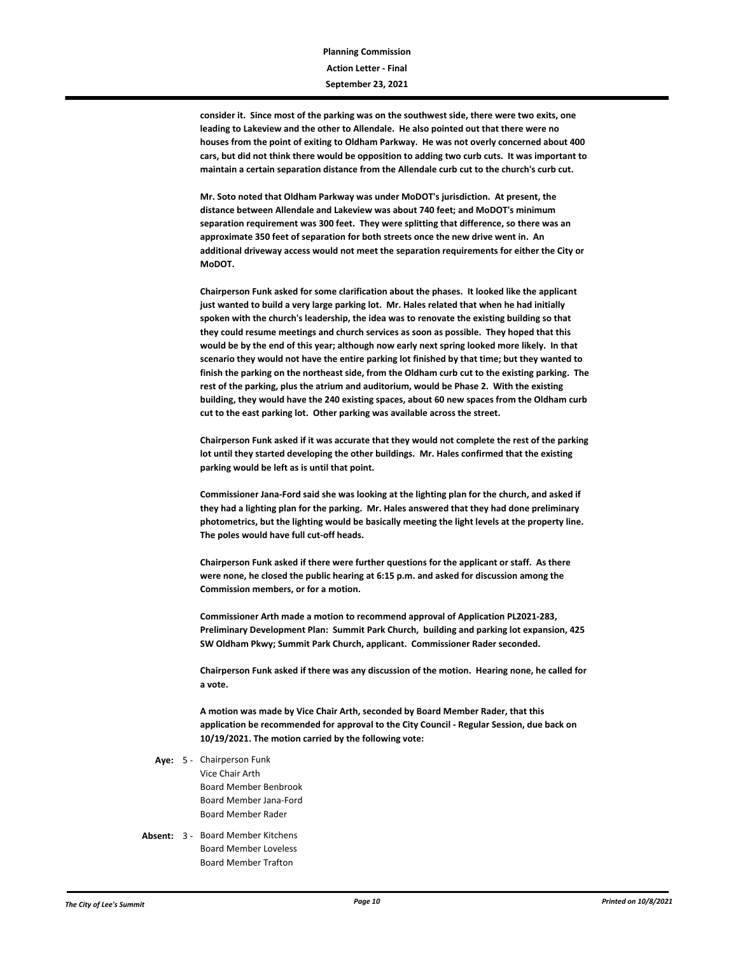**consider it. Since most of the parking was on the southwest side, there were two exits, one leading to Lakeview and the other to Allendale. He also pointed out that there were no houses from the point of exiting to Oldham Parkway. He was not overly concerned about 400 cars, but did not think there would be opposition to adding two curb cuts. It was important to maintain a certain separation distance from the Allendale curb cut to the church's curb cut.**

**Mr. Soto noted that Oldham Parkway was under MoDOT's jurisdiction. At present, the distance between Allendale and Lakeview was about 740 feet; and MoDOT's minimum separation requirement was 300 feet. They were splitting that difference, so there was an approximate 350 feet of separation for both streets once the new drive went in. An additional driveway access would not meet the separation requirements for either the City or MoDOT.**

**Chairperson Funk asked for some clarification about the phases. It looked like the applicant just wanted to build a very large parking lot. Mr. Hales related that when he had initially spoken with the church's leadership, the idea was to renovate the existing building so that they could resume meetings and church services as soon as possible. They hoped that this would be by the end of this year; although now early next spring looked more likely. In that scenario they would not have the entire parking lot finished by that time; but they wanted to finish the parking on the northeast side, from the Oldham curb cut to the existing parking. The rest of the parking, plus the atrium and auditorium, would be Phase 2. With the existing building, they would have the 240 existing spaces, about 60 new spaces from the Oldham curb cut to the east parking lot. Other parking was available across the street.** 

**Chairperson Funk asked if it was accurate that they would not complete the rest of the parking lot until they started developing the other buildings. Mr. Hales confirmed that the existing parking would be left as is until that point.**

**Commissioner Jana-Ford said she was looking at the lighting plan for the church, and asked if they had a lighting plan for the parking. Mr. Hales answered that they had done preliminary photometrics, but the lighting would be basically meeting the light levels at the property line. The poles would have full cut-off heads.** 

**Chairperson Funk asked if there were further questions for the applicant or staff. As there were none, he closed the public hearing at 6:15 p.m. and asked for discussion among the Commission members, or for a motion.**

**Commissioner Arth made a motion to recommend approval of Application PL2021-283, Preliminary Development Plan: Summit Park Church, building and parking lot expansion, 425 SW Oldham Pkwy; Summit Park Church, applicant. Commissioner Rader seconded.**

**Chairperson Funk asked if there was any discussion of the motion. Hearing none, he called for a vote.**

**A motion was made by Vice Chair Arth, seconded by Board Member Rader, that this application be recommended for approval to the City Council - Regular Session, due back on 10/19/2021. The motion carried by the following vote:**

- Aye: 5 Chairperson Funk Vice Chair Arth Board Member Benbrook Board Member Jana-Ford Board Member Rader
- Absent: 3 Board Member Kitchens Board Member Loveless Board Member Trafton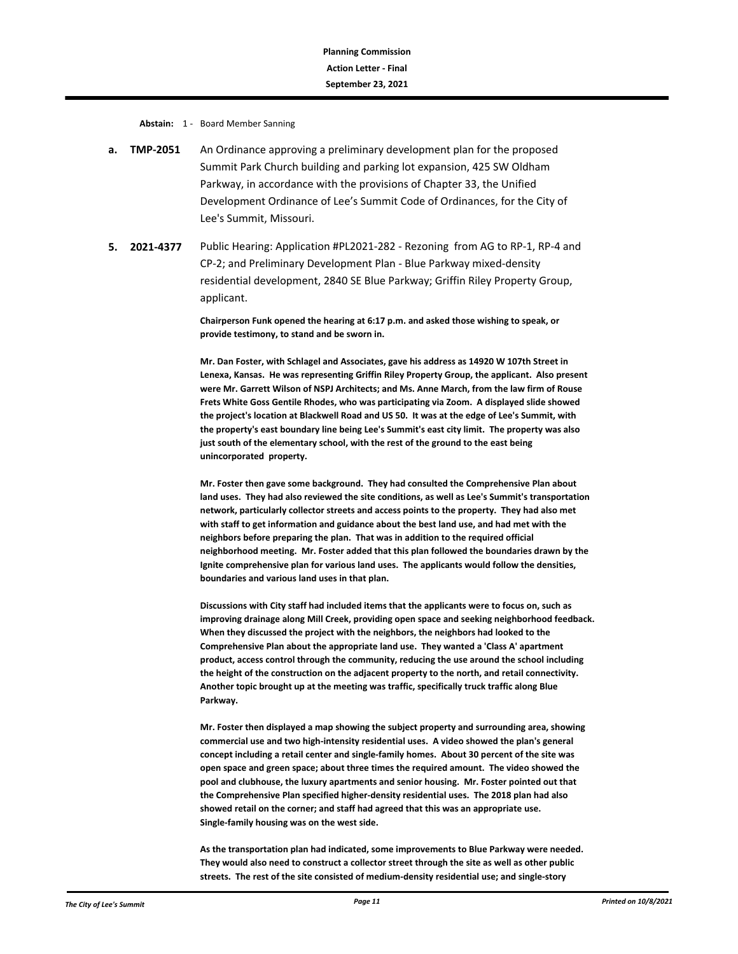**Abstain:** 1 - Board Member Sanning

- **a. TMP-2051** An Ordinance approving a preliminary development plan for the proposed Summit Park Church building and parking lot expansion, 425 SW Oldham Parkway, in accordance with the provisions of Chapter 33, the Unified Development Ordinance of Lee's Summit Code of Ordinances, for the City of Lee's Summit, Missouri.
- **5. 2021-4377** Public Hearing: Application #PL2021-282 Rezoning from AG to RP-1, RP-4 and CP-2; and Preliminary Development Plan - Blue Parkway mixed-density residential development, 2840 SE Blue Parkway; Griffin Riley Property Group, applicant.

**Chairperson Funk opened the hearing at 6:17 p.m. and asked those wishing to speak, or provide testimony, to stand and be sworn in.** 

**Mr. Dan Foster, with Schlagel and Associates, gave his address as 14920 W 107th Street in Lenexa, Kansas. He was representing Griffin Riley Property Group, the applicant. Also present were Mr. Garrett Wilson of NSPJ Architects; and Ms. Anne March, from the law firm of Rouse Frets White Goss Gentile Rhodes, who was participating via Zoom. A displayed slide showed the project's location at Blackwell Road and US 50. It was at the edge of Lee's Summit, with the property's east boundary line being Lee's Summit's east city limit. The property was also just south of the elementary school, with the rest of the ground to the east being unincorporated property.** 

**Mr. Foster then gave some background. They had consulted the Comprehensive Plan about land uses. They had also reviewed the site conditions, as well as Lee's Summit's transportation network, particularly collector streets and access points to the property. They had also met with staff to get information and guidance about the best land use, and had met with the neighbors before preparing the plan. That was in addition to the required official neighborhood meeting. Mr. Foster added that this plan followed the boundaries drawn by the Ignite comprehensive plan for various land uses. The applicants would follow the densities, boundaries and various land uses in that plan.** 

**Discussions with City staff had included items that the applicants were to focus on, such as improving drainage along Mill Creek, providing open space and seeking neighborhood feedback. When they discussed the project with the neighbors, the neighbors had looked to the Comprehensive Plan about the appropriate land use. They wanted a 'Class A' apartment product, access control through the community, reducing the use around the school including the height of the construction on the adjacent property to the north, and retail connectivity. Another topic brought up at the meeting was traffic, specifically truck traffic along Blue Parkway.**

**Mr. Foster then displayed a map showing the subject property and surrounding area, showing commercial use and two high-intensity residential uses. A video showed the plan's general concept including a retail center and single-family homes. About 30 percent of the site was open space and green space; about three times the required amount. The video showed the pool and clubhouse, the luxury apartments and senior housing. Mr. Foster pointed out that the Comprehensive Plan specified higher-density residential uses. The 2018 plan had also showed retail on the corner; and staff had agreed that this was an appropriate use. Single-family housing was on the west side.** 

**As the transportation plan had indicated, some improvements to Blue Parkway were needed. They would also need to construct a collector street through the site as well as other public streets. The rest of the site consisted of medium-density residential use; and single-story**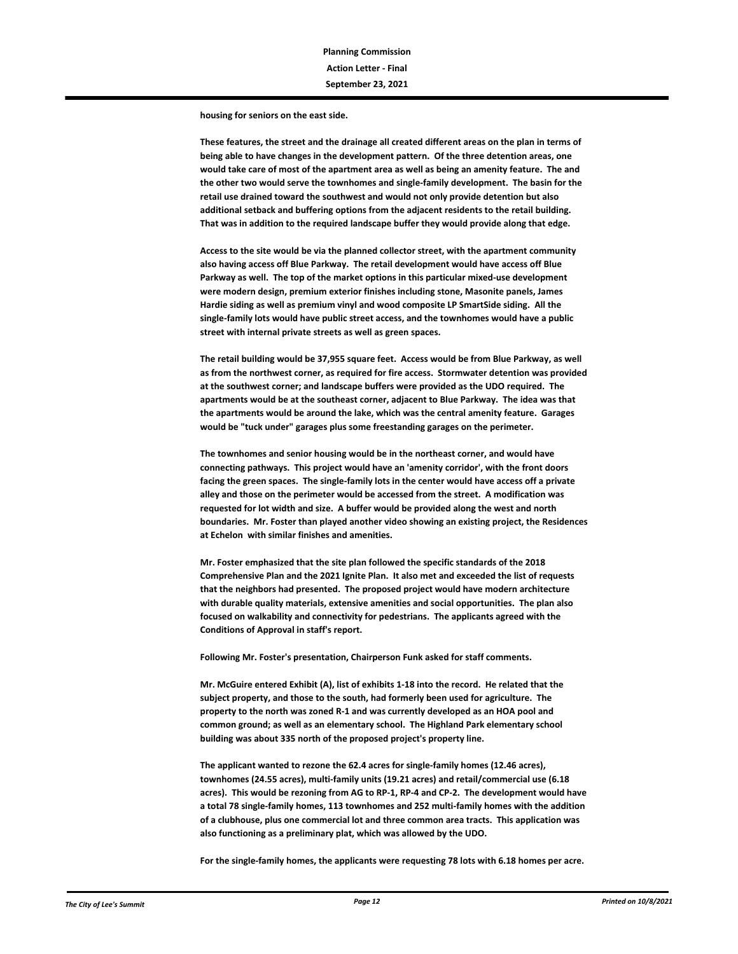**housing for seniors on the east side.** 

**These features, the street and the drainage all created different areas on the plan in terms of being able to have changes in the development pattern. Of the three detention areas, one would take care of most of the apartment area as well as being an amenity feature. The and the other two would serve the townhomes and single-family development. The basin for the retail use drained toward the southwest and would not only provide detention but also additional setback and buffering options from the adjacent residents to the retail building. That was in addition to the required landscape buffer they would provide along that edge.** 

**Access to the site would be via the planned collector street, with the apartment community also having access off Blue Parkway. The retail development would have access off Blue Parkway as well. The top of the market options in this particular mixed-use development were modern design, premium exterior finishes including stone, Masonite panels, James Hardie siding as well as premium vinyl and wood composite LP SmartSide siding. All the single-family lots would have public street access, and the townhomes would have a public street with internal private streets as well as green spaces.**

**The retail building would be 37,955 square feet. Access would be from Blue Parkway, as well as from the northwest corner, as required for fire access. Stormwater detention was provided at the southwest corner; and landscape buffers were provided as the UDO required. The apartments would be at the southeast corner, adjacent to Blue Parkway. The idea was that the apartments would be around the lake, which was the central amenity feature. Garages would be "tuck under" garages plus some freestanding garages on the perimeter.** 

**The townhomes and senior housing would be in the northeast corner, and would have connecting pathways. This project would have an 'amenity corridor', with the front doors facing the green spaces. The single-family lots in the center would have access off a private alley and those on the perimeter would be accessed from the street. A modification was requested for lot width and size. A buffer would be provided along the west and north boundaries. Mr. Foster than played another video showing an existing project, the Residences at Echelon with similar finishes and amenities.**

**Mr. Foster emphasized that the site plan followed the specific standards of the 2018 Comprehensive Plan and the 2021 Ignite Plan. It also met and exceeded the list of requests that the neighbors had presented. The proposed project would have modern architecture with durable quality materials, extensive amenities and social opportunities. The plan also focused on walkability and connectivity for pedestrians. The applicants agreed with the Conditions of Approval in staff's report.** 

**Following Mr. Foster's presentation, Chairperson Funk asked for staff comments.**

**Mr. McGuire entered Exhibit (A), list of exhibits 1-18 into the record. He related that the subject property, and those to the south, had formerly been used for agriculture. The property to the north was zoned R-1 and was currently developed as an HOA pool and common ground; as well as an elementary school. The Highland Park elementary school building was about 335 north of the proposed project's property line.**

**The applicant wanted to rezone the 62.4 acres for single-family homes (12.46 acres), townhomes (24.55 acres), multi-family units (19.21 acres) and retail/commercial use (6.18 acres). This would be rezoning from AG to RP-1, RP-4 and CP-2. The development would have a total 78 single-family homes, 113 townhomes and 252 multi-family homes with the addition of a clubhouse, plus one commercial lot and three common area tracts. This application was also functioning as a preliminary plat, which was allowed by the UDO.** 

**For the single-family homes, the applicants were requesting 78 lots with 6.18 homes per acre.**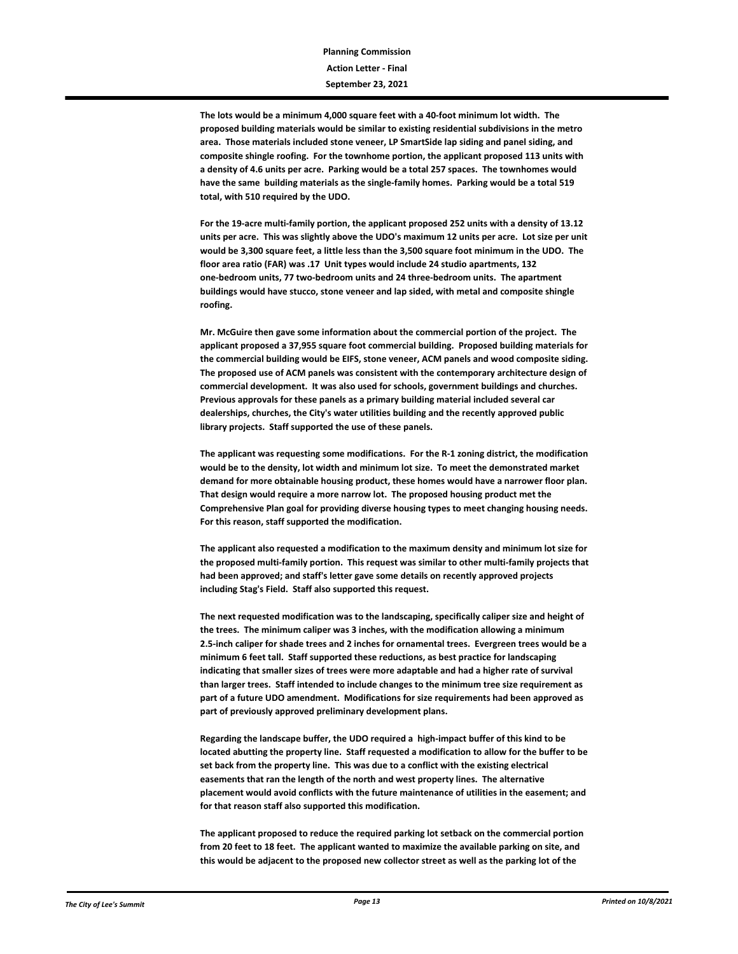**The lots would be a minimum 4,000 square feet with a 40-foot minimum lot width. The proposed building materials would be similar to existing residential subdivisions in the metro area. Those materials included stone veneer, LP SmartSide lap siding and panel siding, and composite shingle roofing. For the townhome portion, the applicant proposed 113 units with a density of 4.6 units per acre. Parking would be a total 257 spaces. The townhomes would have the same building materials as the single-family homes. Parking would be a total 519 total, with 510 required by the UDO.** 

**For the 19-acre multi-family portion, the applicant proposed 252 units with a density of 13.12 units per acre. This was slightly above the UDO's maximum 12 units per acre. Lot size per unit would be 3,300 square feet, a little less than the 3,500 square foot minimum in the UDO. The floor area ratio (FAR) was .17 Unit types would include 24 studio apartments, 132 one-bedroom units, 77 two-bedroom units and 24 three-bedroom units. The apartment buildings would have stucco, stone veneer and lap sided, with metal and composite shingle roofing.** 

**Mr. McGuire then gave some information about the commercial portion of the project. The applicant proposed a 37,955 square foot commercial building. Proposed building materials for the commercial building would be EIFS, stone veneer, ACM panels and wood composite siding. The proposed use of ACM panels was consistent with the contemporary architecture design of commercial development. It was also used for schools, government buildings and churches. Previous approvals for these panels as a primary building material included several car dealerships, churches, the City's water utilities building and the recently approved public library projects. Staff supported the use of these panels.** 

**The applicant was requesting some modifications. For the R-1 zoning district, the modification would be to the density, lot width and minimum lot size. To meet the demonstrated market demand for more obtainable housing product, these homes would have a narrower floor plan. That design would require a more narrow lot. The proposed housing product met the Comprehensive Plan goal for providing diverse housing types to meet changing housing needs. For this reason, staff supported the modification.** 

**The applicant also requested a modification to the maximum density and minimum lot size for the proposed multi-family portion. This request was similar to other multi-family projects that had been approved; and staff's letter gave some details on recently approved projects including Stag's Field. Staff also supported this request.** 

**The next requested modification was to the landscaping, specifically caliper size and height of the trees. The minimum caliper was 3 inches, with the modification allowing a minimum 2.5-inch caliper for shade trees and 2 inches for ornamental trees. Evergreen trees would be a minimum 6 feet tall. Staff supported these reductions, as best practice for landscaping indicating that smaller sizes of trees were more adaptable and had a higher rate of survival than larger trees. Staff intended to include changes to the minimum tree size requirement as part of a future UDO amendment. Modifications for size requirements had been approved as part of previously approved preliminary development plans.**

**Regarding the landscape buffer, the UDO required a high-impact buffer of this kind to be located abutting the property line. Staff requested a modification to allow for the buffer to be set back from the property line. This was due to a conflict with the existing electrical easements that ran the length of the north and west property lines. The alternative placement would avoid conflicts with the future maintenance of utilities in the easement; and for that reason staff also supported this modification.**

**The applicant proposed to reduce the required parking lot setback on the commercial portion from 20 feet to 18 feet. The applicant wanted to maximize the available parking on site, and this would be adjacent to the proposed new collector street as well as the parking lot of the**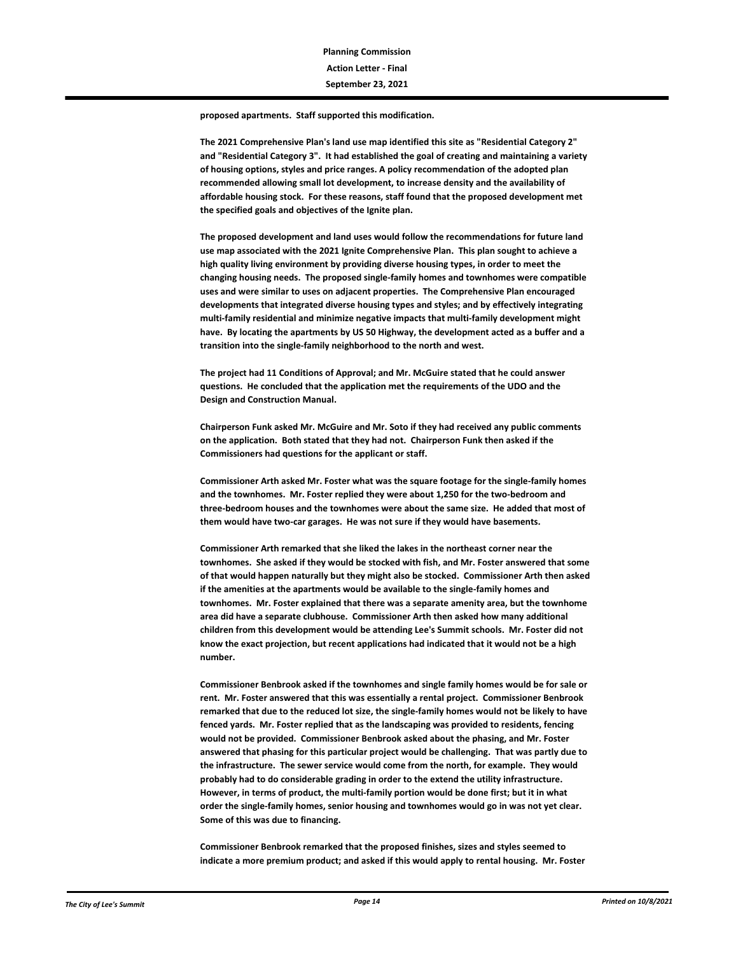**proposed apartments. Staff supported this modification.**

**The 2021 Comprehensive Plan's land use map identified this site as "Residential Category 2" and "Residential Category 3". It had established the goal of creating and maintaining a variety of housing options, styles and price ranges. A policy recommendation of the adopted plan recommended allowing small lot development, to increase density and the availability of affordable housing stock. For these reasons, staff found that the proposed development met the specified goals and objectives of the Ignite plan.**

**The proposed development and land uses would follow the recommendations for future land use map associated with the 2021 Ignite Comprehensive Plan. This plan sought to achieve a high quality living environment by providing diverse housing types, in order to meet the changing housing needs. The proposed single-family homes and townhomes were compatible uses and were similar to uses on adjacent properties. The Comprehensive Plan encouraged developments that integrated diverse housing types and styles; and by effectively integrating multi-family residential and minimize negative impacts that multi-family development might have. By locating the apartments by US 50 Highway, the development acted as a buffer and a transition into the single-family neighborhood to the north and west.** 

**The project had 11 Conditions of Approval; and Mr. McGuire stated that he could answer questions. He concluded that the application met the requirements of the UDO and the Design and Construction Manual.** 

**Chairperson Funk asked Mr. McGuire and Mr. Soto if they had received any public comments on the application. Both stated that they had not. Chairperson Funk then asked if the Commissioners had questions for the applicant or staff.**

**Commissioner Arth asked Mr. Foster what was the square footage for the single-family homes and the townhomes. Mr. Foster replied they were about 1,250 for the two-bedroom and three-bedroom houses and the townhomes were about the same size. He added that most of them would have two-car garages. He was not sure if they would have basements.** 

**Commissioner Arth remarked that she liked the lakes in the northeast corner near the townhomes. She asked if they would be stocked with fish, and Mr. Foster answered that some of that would happen naturally but they might also be stocked. Commissioner Arth then asked if the amenities at the apartments would be available to the single-family homes and townhomes. Mr. Foster explained that there was a separate amenity area, but the townhome area did have a separate clubhouse. Commissioner Arth then asked how many additional children from this development would be attending Lee's Summit schools. Mr. Foster did not know the exact projection, but recent applications had indicated that it would not be a high number.** 

**Commissioner Benbrook asked if the townhomes and single family homes would be for sale or rent. Mr. Foster answered that this was essentially a rental project. Commissioner Benbrook remarked that due to the reduced lot size, the single-family homes would not be likely to have fenced yards. Mr. Foster replied that as the landscaping was provided to residents, fencing would not be provided. Commissioner Benbrook asked about the phasing, and Mr. Foster answered that phasing for this particular project would be challenging. That was partly due to the infrastructure. The sewer service would come from the north, for example. They would probably had to do considerable grading in order to the extend the utility infrastructure. However, in terms of product, the multi-family portion would be done first; but it in what order the single-family homes, senior housing and townhomes would go in was not yet clear. Some of this was due to financing.** 

**Commissioner Benbrook remarked that the proposed finishes, sizes and styles seemed to indicate a more premium product; and asked if this would apply to rental housing. Mr. Foster**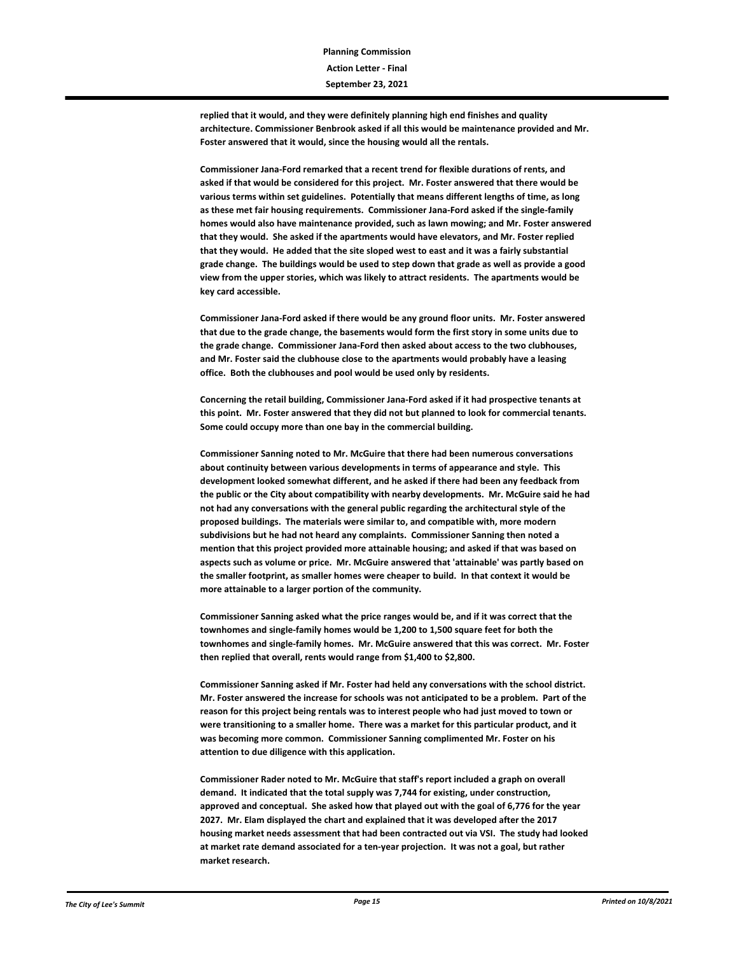**replied that it would, and they were definitely planning high end finishes and quality architecture. Commissioner Benbrook asked if all this would be maintenance provided and Mr. Foster answered that it would, since the housing would all the rentals.** 

**Commissioner Jana-Ford remarked that a recent trend for flexible durations of rents, and asked if that would be considered for this project. Mr. Foster answered that there would be various terms within set guidelines. Potentially that means different lengths of time, as long as these met fair housing requirements. Commissioner Jana-Ford asked if the single-family homes would also have maintenance provided, such as lawn mowing; and Mr. Foster answered that they would. She asked if the apartments would have elevators, and Mr. Foster replied that they would. He added that the site sloped west to east and it was a fairly substantial grade change. The buildings would be used to step down that grade as well as provide a good view from the upper stories, which was likely to attract residents. The apartments would be key card accessible.** 

**Commissioner Jana-Ford asked if there would be any ground floor units. Mr. Foster answered that due to the grade change, the basements would form the first story in some units due to the grade change. Commissioner Jana-Ford then asked about access to the two clubhouses, and Mr. Foster said the clubhouse close to the apartments would probably have a leasing office. Both the clubhouses and pool would be used only by residents.** 

**Concerning the retail building, Commissioner Jana-Ford asked if it had prospective tenants at this point. Mr. Foster answered that they did not but planned to look for commercial tenants. Some could occupy more than one bay in the commercial building.**

**Commissioner Sanning noted to Mr. McGuire that there had been numerous conversations about continuity between various developments in terms of appearance and style. This development looked somewhat different, and he asked if there had been any feedback from the public or the City about compatibility with nearby developments. Mr. McGuire said he had not had any conversations with the general public regarding the architectural style of the proposed buildings. The materials were similar to, and compatible with, more modern subdivisions but he had not heard any complaints. Commissioner Sanning then noted a mention that this project provided more attainable housing; and asked if that was based on aspects such as volume or price. Mr. McGuire answered that 'attainable' was partly based on the smaller footprint, as smaller homes were cheaper to build. In that context it would be more attainable to a larger portion of the community.** 

**Commissioner Sanning asked what the price ranges would be, and if it was correct that the townhomes and single-family homes would be 1,200 to 1,500 square feet for both the townhomes and single-family homes. Mr. McGuire answered that this was correct. Mr. Foster then replied that overall, rents would range from \$1,400 to \$2,800.**

**Commissioner Sanning asked if Mr. Foster had held any conversations with the school district. Mr. Foster answered the increase for schools was not anticipated to be a problem. Part of the reason for this project being rentals was to interest people who had just moved to town or were transitioning to a smaller home. There was a market for this particular product, and it was becoming more common. Commissioner Sanning complimented Mr. Foster on his attention to due diligence with this application.** 

**Commissioner Rader noted to Mr. McGuire that staff's report included a graph on overall demand. It indicated that the total supply was 7,744 for existing, under construction, approved and conceptual. She asked how that played out with the goal of 6,776 for the year 2027. Mr. Elam displayed the chart and explained that it was developed after the 2017 housing market needs assessment that had been contracted out via VSI. The study had looked at market rate demand associated for a ten-year projection. It was not a goal, but rather market research.**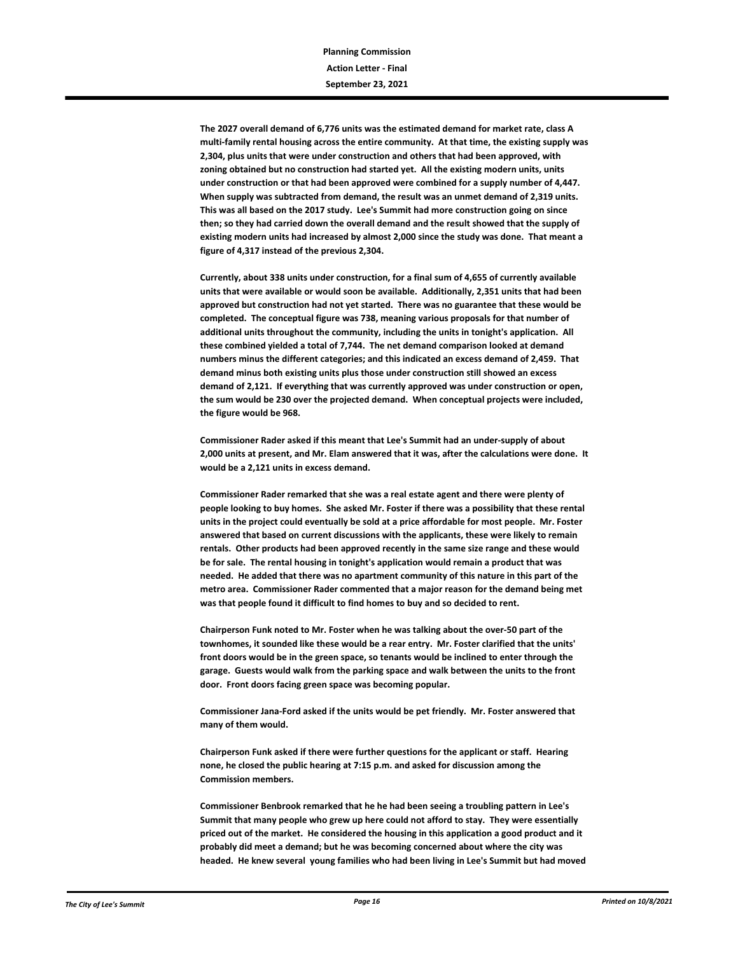**The 2027 overall demand of 6,776 units was the estimated demand for market rate, class A multi-family rental housing across the entire community. At that time, the existing supply was 2,304, plus units that were under construction and others that had been approved, with zoning obtained but no construction had started yet. All the existing modern units, units under construction or that had been approved were combined for a supply number of 4,447. When supply was subtracted from demand, the result was an unmet demand of 2,319 units. This was all based on the 2017 study. Lee's Summit had more construction going on since then; so they had carried down the overall demand and the result showed that the supply of existing modern units had increased by almost 2,000 since the study was done. That meant a figure of 4,317 instead of the previous 2,304.** 

**Currently, about 338 units under construction, for a final sum of 4,655 of currently available units that were available or would soon be available. Additionally, 2,351 units that had been approved but construction had not yet started. There was no guarantee that these would be completed. The conceptual figure was 738, meaning various proposals for that number of additional units throughout the community, including the units in tonight's application. All these combined yielded a total of 7,744. The net demand comparison looked at demand numbers minus the different categories; and this indicated an excess demand of 2,459. That demand minus both existing units plus those under construction still showed an excess demand of 2,121. If everything that was currently approved was under construction or open, the sum would be 230 over the projected demand. When conceptual projects were included, the figure would be 968.** 

**Commissioner Rader asked if this meant that Lee's Summit had an under-supply of about 2,000 units at present, and Mr. Elam answered that it was, after the calculations were done. It would be a 2,121 units in excess demand.**

**Commissioner Rader remarked that she was a real estate agent and there were plenty of people looking to buy homes. She asked Mr. Foster if there was a possibility that these rental units in the project could eventually be sold at a price affordable for most people. Mr. Foster answered that based on current discussions with the applicants, these were likely to remain rentals. Other products had been approved recently in the same size range and these would be for sale. The rental housing in tonight's application would remain a product that was needed. He added that there was no apartment community of this nature in this part of the metro area. Commissioner Rader commented that a major reason for the demand being met was that people found it difficult to find homes to buy and so decided to rent.** 

**Chairperson Funk noted to Mr. Foster when he was talking about the over-50 part of the townhomes, it sounded like these would be a rear entry. Mr. Foster clarified that the units' front doors would be in the green space, so tenants would be inclined to enter through the garage. Guests would walk from the parking space and walk between the units to the front door. Front doors facing green space was becoming popular.**

**Commissioner Jana-Ford asked if the units would be pet friendly. Mr. Foster answered that many of them would.** 

**Chairperson Funk asked if there were further questions for the applicant or staff. Hearing none, he closed the public hearing at 7:15 p.m. and asked for discussion among the Commission members.**

**Commissioner Benbrook remarked that he he had been seeing a troubling pattern in Lee's Summit that many people who grew up here could not afford to stay. They were essentially priced out of the market. He considered the housing in this application a good product and it probably did meet a demand; but he was becoming concerned about where the city was headed. He knew several young families who had been living in Lee's Summit but had moved**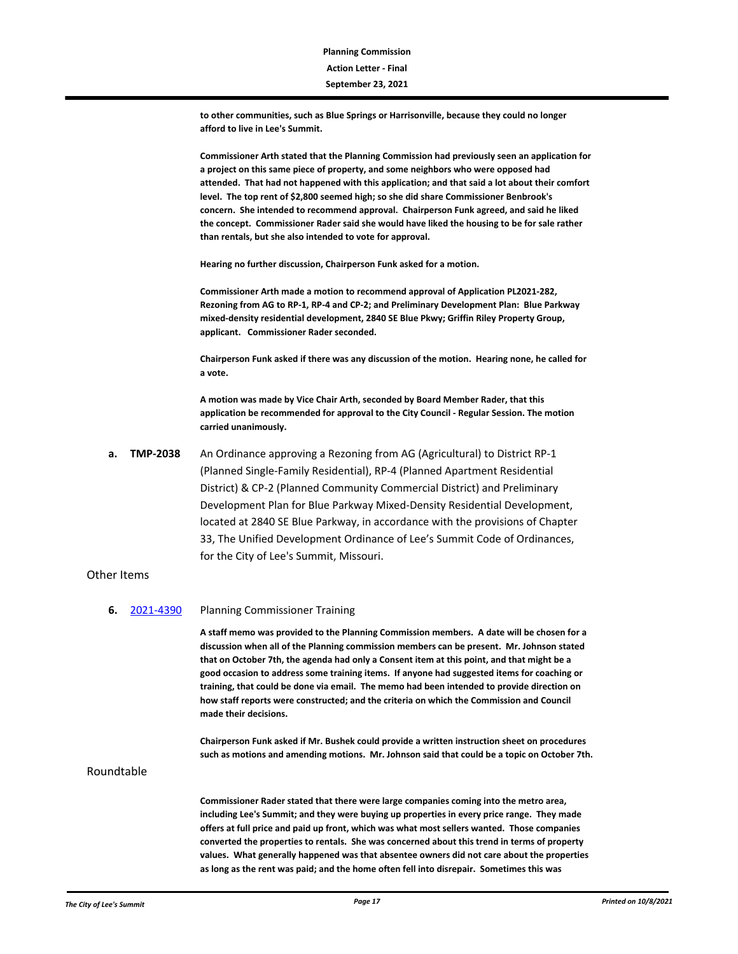**to other communities, such as Blue Springs or Harrisonville, because they could no longer afford to live in Lee's Summit.**

**Commissioner Arth stated that the Planning Commission had previously seen an application for a project on this same piece of property, and some neighbors who were opposed had attended. That had not happened with this application; and that said a lot about their comfort level. The top rent of \$2,800 seemed high; so she did share Commissioner Benbrook's concern. She intended to recommend approval. Chairperson Funk agreed, and said he liked the concept. Commissioner Rader said she would have liked the housing to be for sale rather than rentals, but she also intended to vote for approval.** 

**Hearing no further discussion, Chairperson Funk asked for a motion.**

**Commissioner Arth made a motion to recommend approval of Application PL2021-282, Rezoning from AG to RP-1, RP-4 and CP-2; and Preliminary Development Plan: Blue Parkway mixed-density residential development, 2840 SE Blue Pkwy; Griffin Riley Property Group, applicant. Commissioner Rader seconded.**

**Chairperson Funk asked if there was any discussion of the motion. Hearing none, he called for a vote.**

**A motion was made by Vice Chair Arth, seconded by Board Member Rader, that this application be recommended for approval to the City Council - Regular Session. The motion carried unanimously.**

**a. TMP-2038** An Ordinance approving a Rezoning from AG (Agricultural) to District RP-1 (Planned Single-Family Residential), RP-4 (Planned Apartment Residential District) & CP-2 (Planned Community Commercial District) and Preliminary Development Plan for Blue Parkway Mixed-Density Residential Development, located at 2840 SE Blue Parkway, in accordance with the provisions of Chapter 33, The Unified Development Ordinance of Lee's Summit Code of Ordinances, for the City of Lee's Summit, Missouri.

#### Other Items

**6.** [2021-4390](http://lsmo.legistar.com/gateway.aspx?m=l&id=/matter.aspx?key=6994) Planning Commissioner Training

**A staff memo was provided to the Planning Commission members. A date will be chosen for a discussion when all of the Planning commission members can be present. Mr. Johnson stated that on October 7th, the agenda had only a Consent item at this point, and that might be a good occasion to address some training items. If anyone had suggested items for coaching or training, that could be done via email. The memo had been intended to provide direction on how staff reports were constructed; and the criteria on which the Commission and Council made their decisions.** 

**Chairperson Funk asked if Mr. Bushek could provide a written instruction sheet on procedures such as motions and amending motions. Mr. Johnson said that could be a topic on October 7th.**

Roundtable

**Commissioner Rader stated that there were large companies coming into the metro area, including Lee's Summit; and they were buying up properties in every price range. They made offers at full price and paid up front, which was what most sellers wanted. Those companies converted the properties to rentals. She was concerned about this trend in terms of property values. What generally happened was that absentee owners did not care about the properties as long as the rent was paid; and the home often fell into disrepair. Sometimes this was**